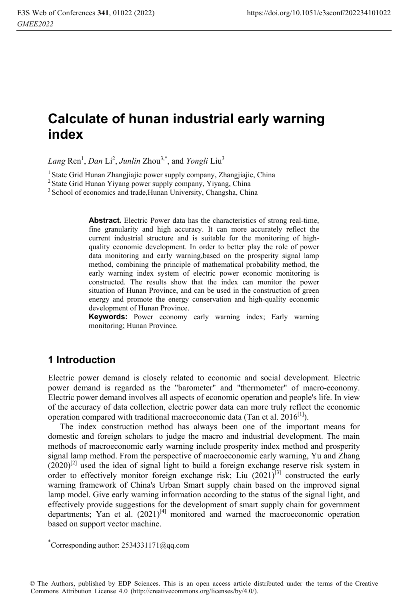# **Calculate of hunan industrial early warning index**

Lang Ren<sup>1</sup>, *Dan* Li<sup>2</sup>, *Junlin* Zhou<sup>3,\*</sup>, and *Yongli* Liu<sup>3</sup>

<sup>1</sup> State Grid Hunan Zhangjiajie power supply company, Zhangjiajie, China <sup>2</sup> State Grid Hunan Yiyang power supply company, Yiyang, China

<sup>3</sup> School of economics and trade,Hunan University, Changsha, China

**Abstract.** Electric Power data has the characteristics of strong real-time, fine granularity and high accuracy. It can more accurately reflect the current industrial structure and is suitable for the monitoring of highquality economic development. In order to better play the role of power data monitoring and early warning,based on the prosperity signal lamp method, combining the principle of mathematical probability method, the early warning index system of electric power economic monitoring is constructed. The results show that the index can monitor the power situation of Hunan Province, and can be used in the construction of green energy and promote the energy conservation and high-quality economic development of Hunan Province.

**Keywords:** Power economy early warning index; Early warning monitoring; Hunan Province.

#### **1 Introduction**

l

Electric power demand is closely related to economic and social development. Electric power demand is regarded as the "barometer" and "thermometer" of macro-economy. Electric power demand involves all aspects of economic operation and people's life. In view of the accuracy of data collection, electric power data can more truly reflect the economic operation compared with traditional macroeconomic data (Tan et al.  $2016^{[1]}$ ).

The index construction method has always been one of the important means for domestic and foreign scholars to judge the macro and industrial development. The main methods of macroeconomic early warning include prosperity index method and prosperity signal lamp method. From the perspective of macroeconomic early warning, Yu and Zhang  $(2020)^{[2]}$  used the idea of signal light to build a foreign exchange reserve risk system in order to effectively monitor foreign exchange risk; Liu  $(2021)^{[3]}$  constructed the early warning framework of China's Urban Smart supply chain based on the improved signal lamp model. Give early warning information according to the status of the signal light, and effectively provide suggestions for the development of smart supply chain for government departments; Yan et al.  $(2021)^{[4]}$  monitored and warned the macroeconomic operation based on support vector machine.

<sup>\*</sup> Corresponding author: 2534331171@qq.com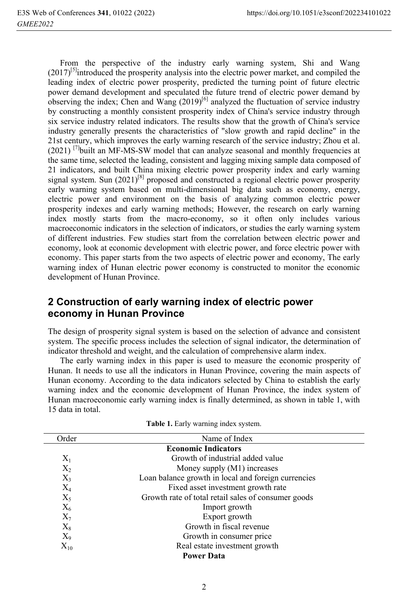From the perspective of the industry early warning system, Shi and Wang  $(2017)^{5}$ introduced the prosperity analysis into the electric power market, and compiled the leading index of electric power prosperity, predicted the turning point of future electric power demand development and speculated the future trend of electric power demand by observing the index; Chen and Wang  $(2019)^{[6]}$  analyzed the fluctuation of service industry by constructing a monthly consistent prosperity index of China's service industry through six service industry related indicators. The results show that the growth of China's service industry generally presents the characteristics of "slow growth and rapid decline" in the 21st century, which improves the early warning research of the service industry; Zhou et al.  $(2021)$ <sup>[7]</sup>built an MF-MS-SW model that can analyze seasonal and monthly frequencies at the same time, selected the leading, consistent and lagging mixing sample data composed of 21 indicators, and built China mixing electric power prosperity index and early warning signal system. Sun  $(2021)^{[8]}$  proposed and constructed a regional electric power prosperity early warning system based on multi-dimensional big data such as economy, energy, electric power and environment on the basis of analyzing common electric power prosperity indexes and early warning methods; However, the research on early warning index mostly starts from the macro-economy, so it often only includes various macroeconomic indicators in the selection of indicators, or studies the early warning system of different industries. Few studies start from the correlation between electric power and economy, look at economic development with electric power, and force electric power with economy. This paper starts from the two aspects of electric power and economy, The early warning index of Hunan electric power economy is constructed to monitor the economic development of Hunan Province.

## **2 Construction of early warning index of electric power economy in Hunan Province**

The design of prosperity signal system is based on the selection of advance and consistent system. The specific process includes the selection of signal indicator, the determination of indicator threshold and weight, and the calculation of comprehensive alarm index.

The early warning index in this paper is used to measure the economic prosperity of Hunan. It needs to use all the indicators in Hunan Province, covering the main aspects of Hunan economy. According to the data indicators selected by China to establish the early warning index and the economic development of Hunan Province, the index system of Hunan macroeconomic early warning index is finally determined, as shown in table 1, with 15 data in total.

| Order          | Name of Index                                       |  |  |  |  |  |  |
|----------------|-----------------------------------------------------|--|--|--|--|--|--|
|                | <b>Economic Indicators</b>                          |  |  |  |  |  |  |
| $X_1$          | Growth of industrial added value                    |  |  |  |  |  |  |
| $X_2$          | Money supply (M1) increases                         |  |  |  |  |  |  |
| $X_3$          | Loan balance growth in local and foreign currencies |  |  |  |  |  |  |
| $\rm X_4$      | Fixed asset investment growth rate                  |  |  |  |  |  |  |
| $X_5$          | Growth rate of total retail sales of consumer goods |  |  |  |  |  |  |
| $X_6$          | Import growth                                       |  |  |  |  |  |  |
| $X_7$          | Export growth                                       |  |  |  |  |  |  |
| $\mathrm{X}_8$ | Growth in fiscal revenue                            |  |  |  |  |  |  |
| $X_9$          | Growth in consumer price                            |  |  |  |  |  |  |
| $X_{10}$       | Real estate investment growth                       |  |  |  |  |  |  |
|                | <b>Power Data</b>                                   |  |  |  |  |  |  |

Table 1. Early warning index system.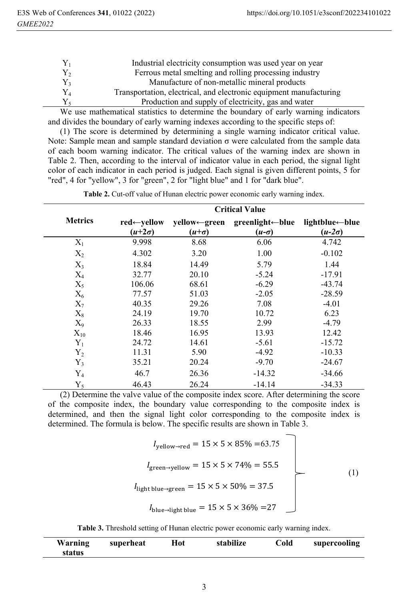| $Y_1$       | Industrial electricity consumption was used year on year           |
|-------------|--------------------------------------------------------------------|
| $Y_{2}$     | Ferrous metal smelting and rolling processing industry             |
| Y3          | Manufacture of non-metallic mineral products                       |
| ${\rm Y}_4$ | Transportation, electrical, and electronic equipment manufacturing |
|             | Production and supply of electricity, gas and water                |
|             |                                                                    |

We use mathematical statistics to determine the boundary of early warning indicators and divides the boundary of early warning indexes according to the specific steps of:

(1) The score is determined by determining a single warning indicator critical value. Note: Sample mean and sample standard deviation σ were calculated from the sample data of each boom warning indicator. The critical values of the warning index are shown in Table 2. Then, according to the interval of indicator value in each period, the signal light color of each indicator in each period is judged. Each signal is given different points, 5 for "red", 4 for "yellow", 3 for "green", 2 for "light blue" and 1 for "dark blue".

|                | <b>Critical Value</b>                    |                              |                                 |                                 |  |  |  |
|----------------|------------------------------------------|------------------------------|---------------------------------|---------------------------------|--|--|--|
| <b>Metrics</b> | $red \leftarrow$ yellow<br>$(u+2\sigma)$ | yellow←green<br>$(u+\sigma)$ | greenlight←blue<br>$(u-\sigma)$ | lightblue←blue<br>$(u-2\sigma)$ |  |  |  |
| $X_1$          | 9.998                                    | 8.68                         | 6.06                            | 4.742                           |  |  |  |
| $X_2$          | 4.302                                    | 3.20                         | 1.00                            | $-0.102$                        |  |  |  |
| $X_3$          | 18.84                                    | 14.49                        | 5.79                            | 1.44                            |  |  |  |
| $X_4$          | 32.77                                    | 20.10                        | $-5.24$                         | $-17.91$                        |  |  |  |
| $X_5$          | 106.06                                   | 68.61                        | $-6.29$                         | $-43.74$                        |  |  |  |
| $X_6$          | 77.57                                    | 51.03                        | $-2.05$                         | $-28.59$                        |  |  |  |
| $X_7$          | 40.35                                    | 29.26                        | 7.08                            | $-4.01$                         |  |  |  |
| $X_8$          | 24.19                                    | 19.70                        | 10.72                           | 6.23                            |  |  |  |
| $X_9$          | 26.33                                    | 18.55                        | 2.99                            | $-4.79$                         |  |  |  |
| $X_{10}$       | 18.46                                    | 16.95                        | 13.93                           | 12.42                           |  |  |  |
| $Y_1$          | 24.72                                    | 14.61                        | $-5.61$                         | $-15.72$                        |  |  |  |
| $Y_2$          | 11.31                                    | 5.90                         | $-4.92$                         | $-10.33$                        |  |  |  |
| $Y_3$          | 35.21                                    | 20.24                        | $-9.70$                         | $-24.67$                        |  |  |  |
| $Y_4$          | 46.7                                     | 26.36                        | $-14.32$                        | $-34.66$                        |  |  |  |
| $Y_5$          | 46.43                                    | 26.24                        | $-14.14$                        | $-34.33$                        |  |  |  |

**Table 2.** Cut-off value of Hunan electric power economic early warning index.

(2) Determine the valve value of the composite index score. After determining the score of the composite index, the boundary value corresponding to the composite index is determined, and then the signal light color corresponding to the composite index is determined. The formula is below. The specific results are shown in Table 3.

$$
I_{\text{yellow}\rightarrow\text{red}} = 15 \times 5 \times 85\% = 63.75
$$
\n
$$
I_{\text{green}\rightarrow\text{yellow}} = 15 \times 5 \times 74\% = 55.5
$$
\n
$$
I_{\text{light blue}\rightarrow\text{green}} = 15 \times 5 \times 50\% = 37.5
$$
\n
$$
I_{\text{blue}\rightarrow\text{light blue}} = 15 \times 5 \times 36\% = 27
$$
\n(1)

|  |  |  |  |  |  |  |  | Table 3. Threshold setting of Hunan electric power economic early warning index. |  |
|--|--|--|--|--|--|--|--|----------------------------------------------------------------------------------|--|
|--|--|--|--|--|--|--|--|----------------------------------------------------------------------------------|--|

| Warning | superheat | Hot | stabilize | Cold | supercooling |
|---------|-----------|-----|-----------|------|--------------|
| status  |           |     |           |      |              |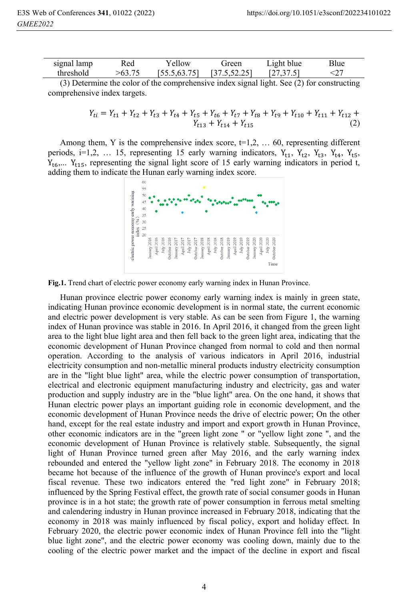| signal lamp | Red | <b>v</b> ellow | freen         | $\angle$ ight blue | Blue |  |
|-------------|-----|----------------|---------------|--------------------|------|--|
| threshold   |     | [55.5, 63.75]  | [37.5, 52.25] | 1273751<br>.       |      |  |

(3) Determine the color of the comprehensive index signal light. See (2) for constructing comprehensive index targets.

$$
Y_{t i} = Y_{t 1} + Y_{t 2} + Y_{t 3} + Y_{t 4} + Y_{t 5} + Y_{t 6} + Y_{t 7} + Y_{t 8} + Y_{t 9} + Y_{t 10} + Y_{t 11} + Y_{t 12} + Y_{t 13} + Y_{t 14} + Y_{t 15}
$$
\n
$$
(2)
$$

Among them, Y is the comprehensive index score,  $t=1,2, \ldots, 60$ , representing different periods, i=1,2, ... 15, representing 15 early warning indicators,  $Y_{t1}$ ,  $Y_{t2}$ ,  $Y_{t3}$ ,  $Y_{t4}$ ,  $Y_{t5}$ ,  $Y_{16}$ ....  $Y_{115}$ , representing the signal light score of 15 early warning indicators in period t, adding them to indicate the Hunan early warning index score.



**Fig.1.** Trend chart of electric power economy early warning index in Hunan Province.

Hunan province electric power economy early warning index is mainly in green state, indicating Hunan province economic development is in normal state, the current economic and electric power development is very stable. As can be seen from Figure 1, the warning index of Hunan province was stable in 2016. In April 2016, it changed from the green light area to the light blue light area and then fell back to the green light area, indicating that the economic development of Hunan Province changed from normal to cold and then normal operation. According to the analysis of various indicators in April 2016, industrial electricity consumption and non-metallic mineral products industry electricity consumption are in the "light blue light" area, while the electric power consumption of transportation, electrical and electronic equipment manufacturing industry and electricity, gas and water production and supply industry are in the "blue light" area. On the one hand, it shows that Hunan electric power plays an important guiding role in economic development, and the economic development of Hunan Province needs the drive of electric power; On the other hand, except for the real estate industry and import and export growth in Hunan Province, other economic indicators are in the "green light zone " or "yellow light zone ", and the economic development of Hunan Province is relatively stable. Subsequently, the signal light of Hunan Province turned green after May 2016, and the early warning index rebounded and entered the "yellow light zone" in February 2018. The economy in 2018 became hot because of the influence of the growth of Hunan province's export and local fiscal revenue. These two indicators entered the "red light zone" in February 2018; influenced by the Spring Festival effect, the growth rate of social consumer goods in Hunan province is in a hot state; the growth rate of power consumption in ferrous metal smelting and calendering industry in Hunan province increased in February 2018, indicating that the economy in 2018 was mainly influenced by fiscal policy, export and holiday effect. In February 2020, the electric power economic index of Hunan Province fell into the "light blue light zone", and the electric power economy was cooling down, mainly due to the cooling of the electric power market and the impact of the decline in export and fiscal